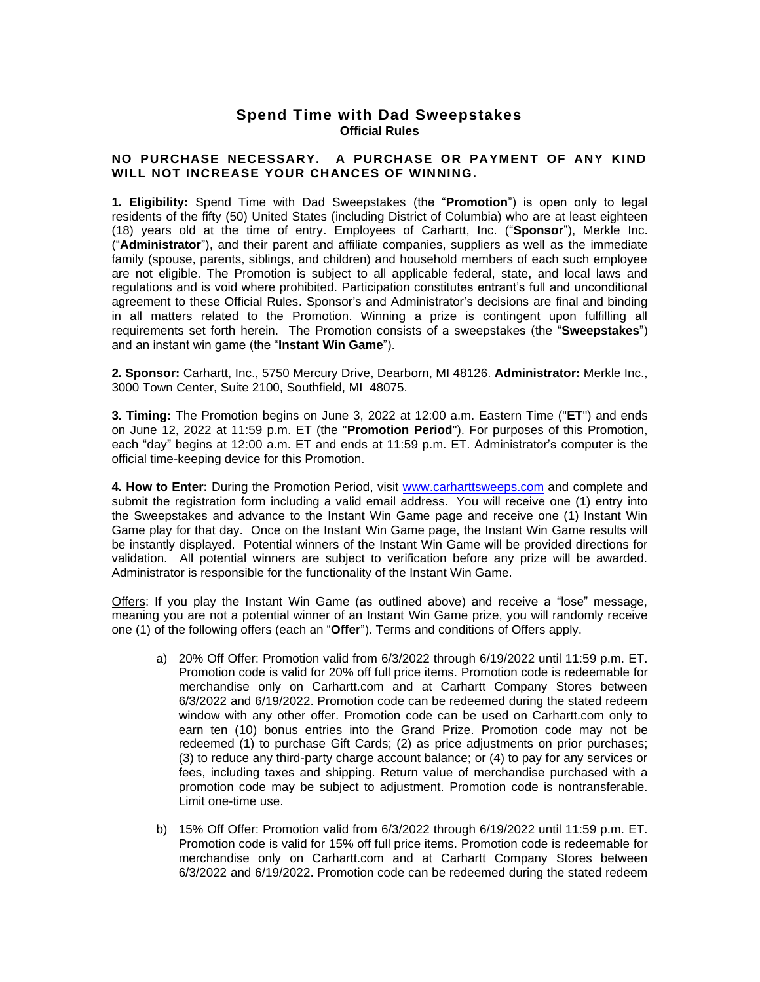## **Spend Time with Dad Sweepstakes Official Rules**

## **NO PURCHASE NECESSARY. A PURCHASE OR PAYMENT OF ANY KIND WILL NOT INCREASE YOUR CHANCES OF WINNING.**

**1. Eligibility:** Spend Time with Dad Sweepstakes (the "**Promotion**") is open only to legal residents of the fifty (50) United States (including District of Columbia) who are at least eighteen (18) years old at the time of entry. Employees of Carhartt, Inc. ("**Sponsor**"), Merkle Inc. ("**Administrator**"), and their parent and affiliate companies, suppliers as well as the immediate family (spouse, parents, siblings, and children) and household members of each such employee are not eligible. The Promotion is subject to all applicable federal, state, and local laws and regulations and is void where prohibited. Participation constitutes entrant's full and unconditional agreement to these Official Rules. Sponsor's and Administrator's decisions are final and binding in all matters related to the Promotion. Winning a prize is contingent upon fulfilling all requirements set forth herein. The Promotion consists of a sweepstakes (the "**Sweepstakes**") and an instant win game (the "**Instant Win Game**").

**2. Sponsor:** Carhartt, Inc., 5750 Mercury Drive, Dearborn, MI 48126. **Administrator:** Merkle Inc., 3000 Town Center, Suite 2100, Southfield, MI 48075.

**3. Timing:** The Promotion begins on June 3, 2022 at 12:00 a.m. Eastern Time ("**ET**") and ends on June 12, 2022 at 11:59 p.m. ET (the "**Promotion Period**"). For purposes of this Promotion, each "day" begins at 12:00 a.m. ET and ends at 11:59 p.m. ET. Administrator's computer is the official time-keeping device for this Promotion.

**4. How to Enter:** During the Promotion Period, visit [www.carharttsweeps.com](http://www.carharttsweeps.com/) and complete and submit the registration form including a valid email address. You will receive one (1) entry into the Sweepstakes and advance to the Instant Win Game page and receive one (1) Instant Win Game play for that day. Once on the Instant Win Game page, the Instant Win Game results will be instantly displayed. Potential winners of the Instant Win Game will be provided directions for validation. All potential winners are subject to verification before any prize will be awarded. Administrator is responsible for the functionality of the Instant Win Game.

Offers: If you play the Instant Win Game (as outlined above) and receive a "lose" message, meaning you are not a potential winner of an Instant Win Game prize, you will randomly receive one (1) of the following offers (each an "**Offer**"). Terms and conditions of Offers apply.

- a) 20% Off Offer: Promotion valid from 6/3/2022 through 6/19/2022 until 11:59 p.m. ET. Promotion code is valid for 20% off full price items. Promotion code is redeemable for merchandise only on Carhartt.com and at Carhartt Company Stores between 6/3/2022 and 6/19/2022. Promotion code can be redeemed during the stated redeem window with any other offer. Promotion code can be used on Carhartt.com only to earn ten (10) bonus entries into the Grand Prize. Promotion code may not be redeemed (1) to purchase Gift Cards; (2) as price adjustments on prior purchases; (3) to reduce any third-party charge account balance; or (4) to pay for any services or fees, including taxes and shipping. Return value of merchandise purchased with a promotion code may be subject to adjustment. Promotion code is nontransferable. Limit one-time use.
- b) 15% Off Offer: Promotion valid from 6/3/2022 through 6/19/2022 until 11:59 p.m. ET. Promotion code is valid for 15% off full price items. Promotion code is redeemable for merchandise only on Carhartt.com and at Carhartt Company Stores between 6/3/2022 and 6/19/2022. Promotion code can be redeemed during the stated redeem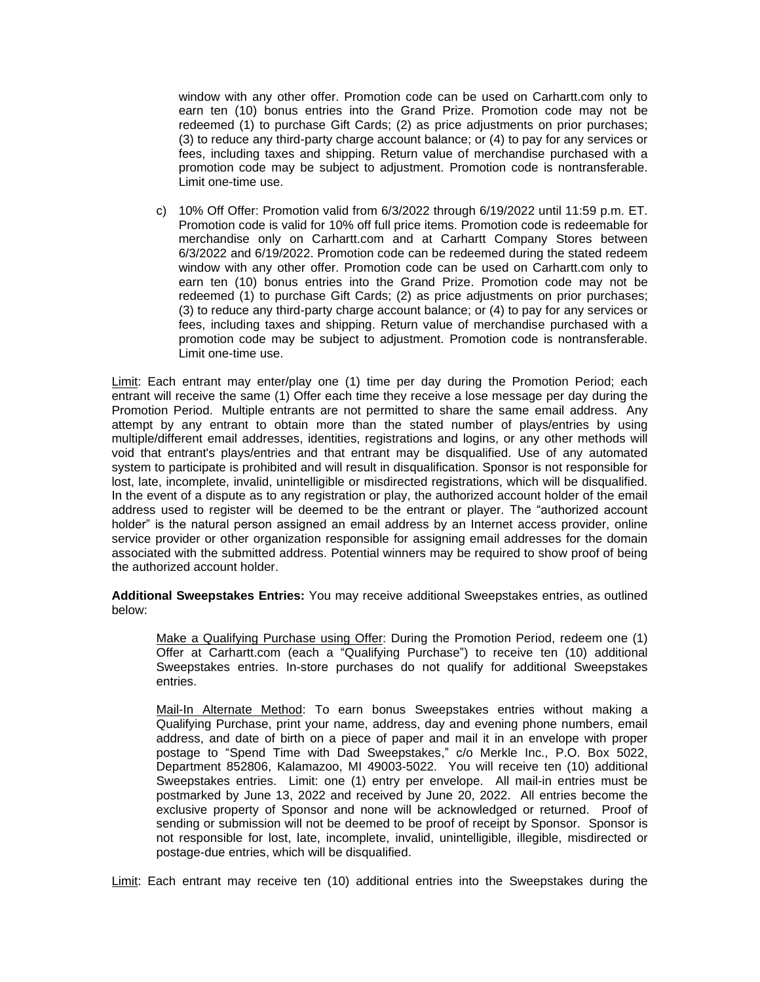window with any other offer. Promotion code can be used on Carhartt.com only to earn ten (10) bonus entries into the Grand Prize. Promotion code may not be redeemed (1) to purchase Gift Cards; (2) as price adjustments on prior purchases; (3) to reduce any third-party charge account balance; or (4) to pay for any services or fees, including taxes and shipping. Return value of merchandise purchased with a promotion code may be subject to adjustment. Promotion code is nontransferable. Limit one-time use.

c) 10% Off Offer: Promotion valid from 6/3/2022 through 6/19/2022 until 11:59 p.m. ET. Promotion code is valid for 10% off full price items. Promotion code is redeemable for merchandise only on Carhartt.com and at Carhartt Company Stores between 6/3/2022 and 6/19/2022. Promotion code can be redeemed during the stated redeem window with any other offer. Promotion code can be used on Carhartt.com only to earn ten (10) bonus entries into the Grand Prize. Promotion code may not be redeemed (1) to purchase Gift Cards; (2) as price adjustments on prior purchases; (3) to reduce any third-party charge account balance; or (4) to pay for any services or fees, including taxes and shipping. Return value of merchandise purchased with a promotion code may be subject to adjustment. Promotion code is nontransferable. Limit one-time use.

Limit: Each entrant may enter/play one (1) time per day during the Promotion Period; each entrant will receive the same (1) Offer each time they receive a lose message per day during the Promotion Period. Multiple entrants are not permitted to share the same email address. Any attempt by any entrant to obtain more than the stated number of plays/entries by using multiple/different email addresses, identities, registrations and logins, or any other methods will void that entrant's plays/entries and that entrant may be disqualified. Use of any automated system to participate is prohibited and will result in disqualification. Sponsor is not responsible for lost, late, incomplete, invalid, unintelligible or misdirected registrations, which will be disqualified. In the event of a dispute as to any registration or play, the authorized account holder of the email address used to register will be deemed to be the entrant or player. The "authorized account holder" is the natural person assigned an email address by an Internet access provider, online service provider or other organization responsible for assigning email addresses for the domain associated with the submitted address. Potential winners may be required to show proof of being the authorized account holder.

**Additional Sweepstakes Entries:** You may receive additional Sweepstakes entries, as outlined below:

Make a Qualifying Purchase using Offer: During the Promotion Period, redeem one (1) Offer at Carhartt.com (each a "Qualifying Purchase") to receive ten (10) additional Sweepstakes entries. In-store purchases do not qualify for additional Sweepstakes entries.

Mail-In Alternate Method: To earn bonus Sweepstakes entries without making a Qualifying Purchase, print your name, address, day and evening phone numbers, email address, and date of birth on a piece of paper and mail it in an envelope with proper postage to "Spend Time with Dad Sweepstakes," c/o Merkle Inc., P.O. Box 5022, Department 852806, Kalamazoo, MI 49003-5022. You will receive ten (10) additional Sweepstakes entries. Limit: one (1) entry per envelope. All mail-in entries must be postmarked by June 13, 2022 and received by June 20, 2022. All entries become the exclusive property of Sponsor and none will be acknowledged or returned. Proof of sending or submission will not be deemed to be proof of receipt by Sponsor. Sponsor is not responsible for lost, late, incomplete, invalid, unintelligible, illegible, misdirected or postage-due entries, which will be disqualified.

Limit: Each entrant may receive ten (10) additional entries into the Sweepstakes during the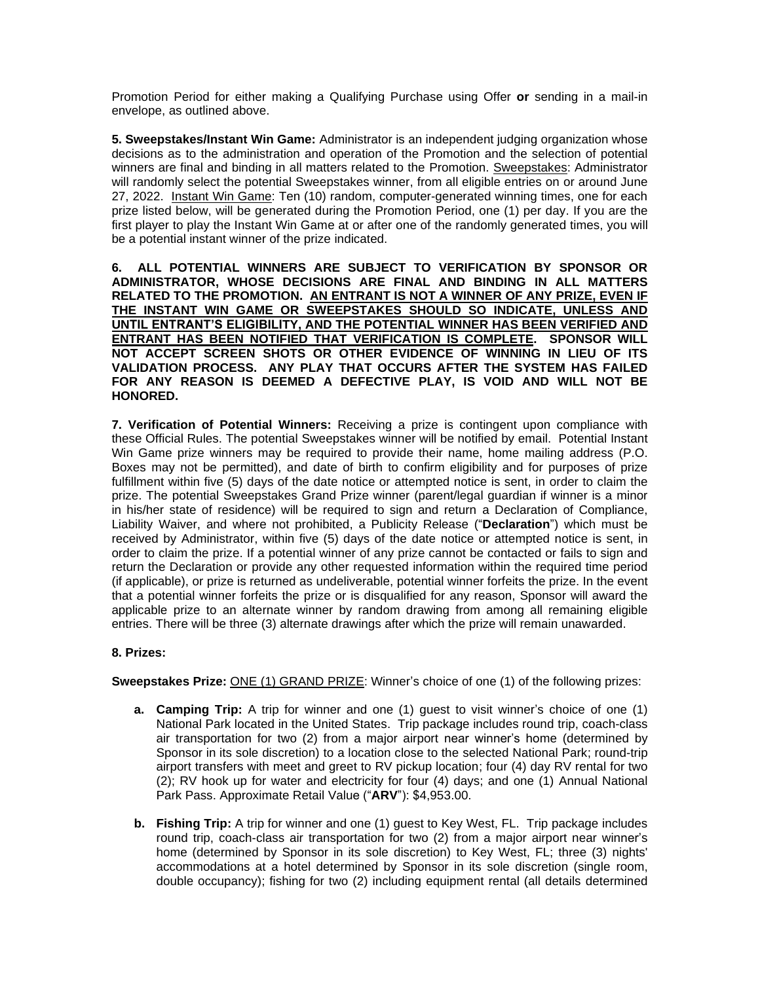Promotion Period for either making a Qualifying Purchase using Offer **or** sending in a mail-in envelope, as outlined above.

**5. Sweepstakes/Instant Win Game:** Administrator is an independent judging organization whose decisions as to the administration and operation of the Promotion and the selection of potential winners are final and binding in all matters related to the Promotion. Sweepstakes: Administrator will randomly select the potential Sweepstakes winner, from all eligible entries on or around June 27, 2022. Instant Win Game: Ten (10) random, computer-generated winning times, one for each prize listed below, will be generated during the Promotion Period, one (1) per day. If you are the first player to play the Instant Win Game at or after one of the randomly generated times, you will be a potential instant winner of the prize indicated.

**6. ALL POTENTIAL WINNERS ARE SUBJECT TO VERIFICATION BY SPONSOR OR ADMINISTRATOR, WHOSE DECISIONS ARE FINAL AND BINDING IN ALL MATTERS RELATED TO THE PROMOTION. AN ENTRANT IS NOT A WINNER OF ANY PRIZE, EVEN IF THE INSTANT WIN GAME OR SWEEPSTAKES SHOULD SO INDICATE, UNLESS AND UNTIL ENTRANT'S ELIGIBILITY, AND THE POTENTIAL WINNER HAS BEEN VERIFIED AND ENTRANT HAS BEEN NOTIFIED THAT VERIFICATION IS COMPLETE. SPONSOR WILL NOT ACCEPT SCREEN SHOTS OR OTHER EVIDENCE OF WINNING IN LIEU OF ITS VALIDATION PROCESS. ANY PLAY THAT OCCURS AFTER THE SYSTEM HAS FAILED FOR ANY REASON IS DEEMED A DEFECTIVE PLAY, IS VOID AND WILL NOT BE HONORED.**

**7. Verification of Potential Winners:** Receiving a prize is contingent upon compliance with these Official Rules. The potential Sweepstakes winner will be notified by email. Potential Instant Win Game prize winners may be required to provide their name, home mailing address (P.O. Boxes may not be permitted), and date of birth to confirm eligibility and for purposes of prize fulfillment within five (5) days of the date notice or attempted notice is sent, in order to claim the prize. The potential Sweepstakes Grand Prize winner (parent/legal guardian if winner is a minor in his/her state of residence) will be required to sign and return a Declaration of Compliance, Liability Waiver, and where not prohibited, a Publicity Release ("**Declaration**") which must be received by Administrator, within five (5) days of the date notice or attempted notice is sent, in order to claim the prize. If a potential winner of any prize cannot be contacted or fails to sign and return the Declaration or provide any other requested information within the required time period (if applicable), or prize is returned as undeliverable, potential winner forfeits the prize. In the event that a potential winner forfeits the prize or is disqualified for any reason, Sponsor will award the applicable prize to an alternate winner by random drawing from among all remaining eligible entries. There will be three (3) alternate drawings after which the prize will remain unawarded.

## **8. Prizes:**

**Sweepstakes Prize:** ONE (1) GRAND PRIZE: Winner's choice of one (1) of the following prizes:

- **a. Camping Trip:** A trip for winner and one (1) guest to visit winner's choice of one (1) National Park located in the United States. Trip package includes round trip, coach-class air transportation for two (2) from a major airport near winner's home (determined by Sponsor in its sole discretion) to a location close to the selected National Park; round-trip airport transfers with meet and greet to RV pickup location; four (4) day RV rental for two (2); RV hook up for water and electricity for four (4) days; and one (1) Annual National Park Pass. Approximate Retail Value ("**ARV**"): \$4,953.00.
- **b. Fishing Trip:** A trip for winner and one (1) guest to Key West, FL. Trip package includes round trip, coach-class air transportation for two (2) from a major airport near winner's home (determined by Sponsor in its sole discretion) to Key West, FL; three (3) nights' accommodations at a hotel determined by Sponsor in its sole discretion (single room, double occupancy); fishing for two (2) including equipment rental (all details determined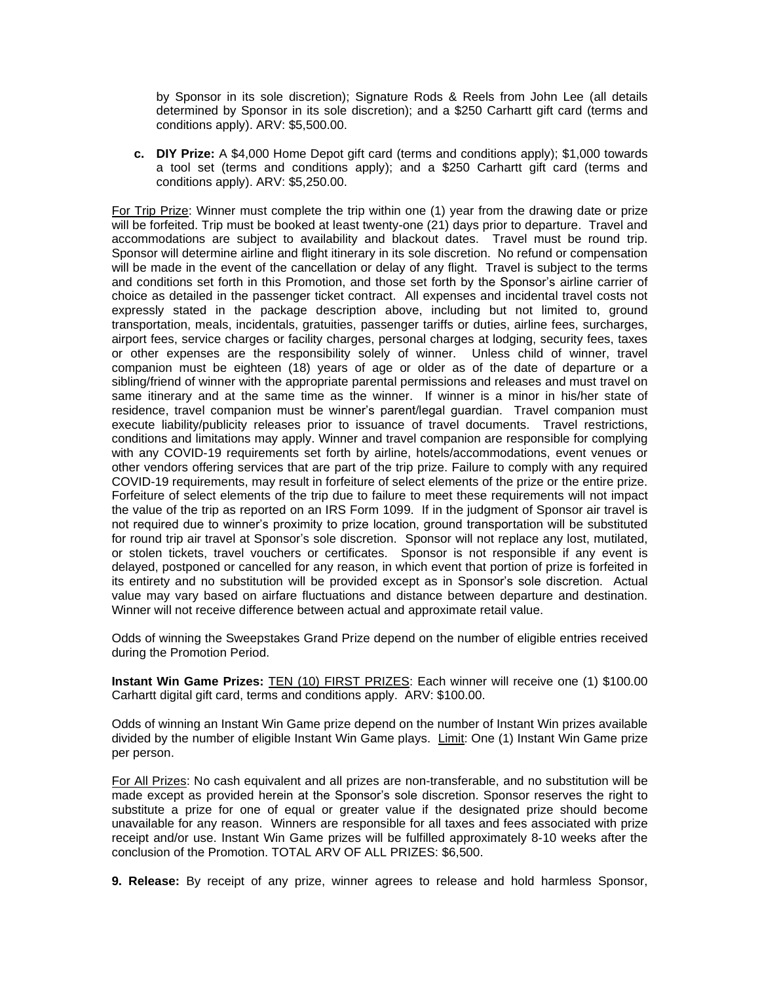by Sponsor in its sole discretion); Signature Rods & Reels from John Lee (all details determined by Sponsor in its sole discretion); and a \$250 Carhartt gift card (terms and conditions apply). ARV: \$5,500.00.

**c. DIY Prize:** A \$4,000 Home Depot gift card (terms and conditions apply); \$1,000 towards a tool set (terms and conditions apply); and a \$250 Carhartt gift card (terms and conditions apply). ARV: \$5,250.00.

For Trip Prize: Winner must complete the trip within one (1) year from the drawing date or prize will be forfeited. Trip must be booked at least twenty-one (21) days prior to departure. Travel and accommodations are subject to availability and blackout dates. Travel must be round trip. Sponsor will determine airline and flight itinerary in its sole discretion. No refund or compensation will be made in the event of the cancellation or delay of any flight. Travel is subject to the terms and conditions set forth in this Promotion, and those set forth by the Sponsor's airline carrier of choice as detailed in the passenger ticket contract. All expenses and incidental travel costs not expressly stated in the package description above, including but not limited to, ground transportation, meals, incidentals, gratuities, passenger tariffs or duties, airline fees, surcharges, airport fees, service charges or facility charges, personal charges at lodging, security fees, taxes or other expenses are the responsibility solely of winner. Unless child of winner, travel companion must be eighteen (18) years of age or older as of the date of departure or a sibling/friend of winner with the appropriate parental permissions and releases and must travel on same itinerary and at the same time as the winner. If winner is a minor in his/her state of residence, travel companion must be winner's parent/legal guardian. Travel companion must execute liability/publicity releases prior to issuance of travel documents. Travel restrictions, conditions and limitations may apply. Winner and travel companion are responsible for complying with any COVID-19 requirements set forth by airline, hotels/accommodations, event venues or other vendors offering services that are part of the trip prize. Failure to comply with any required COVID-19 requirements, may result in forfeiture of select elements of the prize or the entire prize. Forfeiture of select elements of the trip due to failure to meet these requirements will not impact the value of the trip as reported on an IRS Form 1099. If in the judgment of Sponsor air travel is not required due to winner's proximity to prize location, ground transportation will be substituted for round trip air travel at Sponsor's sole discretion. Sponsor will not replace any lost, mutilated, or stolen tickets, travel vouchers or certificates. Sponsor is not responsible if any event is delayed, postponed or cancelled for any reason, in which event that portion of prize is forfeited in its entirety and no substitution will be provided except as in Sponsor's sole discretion. Actual value may vary based on airfare fluctuations and distance between departure and destination. Winner will not receive difference between actual and approximate retail value.

Odds of winning the Sweepstakes Grand Prize depend on the number of eligible entries received during the Promotion Period.

**Instant Win Game Prizes:** TEN (10) FIRST PRIZES: Each winner will receive one (1) \$100.00 Carhartt digital gift card, terms and conditions apply. ARV: \$100.00.

Odds of winning an Instant Win Game prize depend on the number of Instant Win prizes available divided by the number of eligible Instant Win Game plays. Limit: One (1) Instant Win Game prize per person.

For All Prizes: No cash equivalent and all prizes are non-transferable, and no substitution will be made except as provided herein at the Sponsor's sole discretion. Sponsor reserves the right to substitute a prize for one of equal or greater value if the designated prize should become unavailable for any reason. Winners are responsible for all taxes and fees associated with prize receipt and/or use. Instant Win Game prizes will be fulfilled approximately 8-10 weeks after the conclusion of the Promotion. TOTAL ARV OF ALL PRIZES: \$6,500.

**9. Release:** By receipt of any prize, winner agrees to release and hold harmless Sponsor,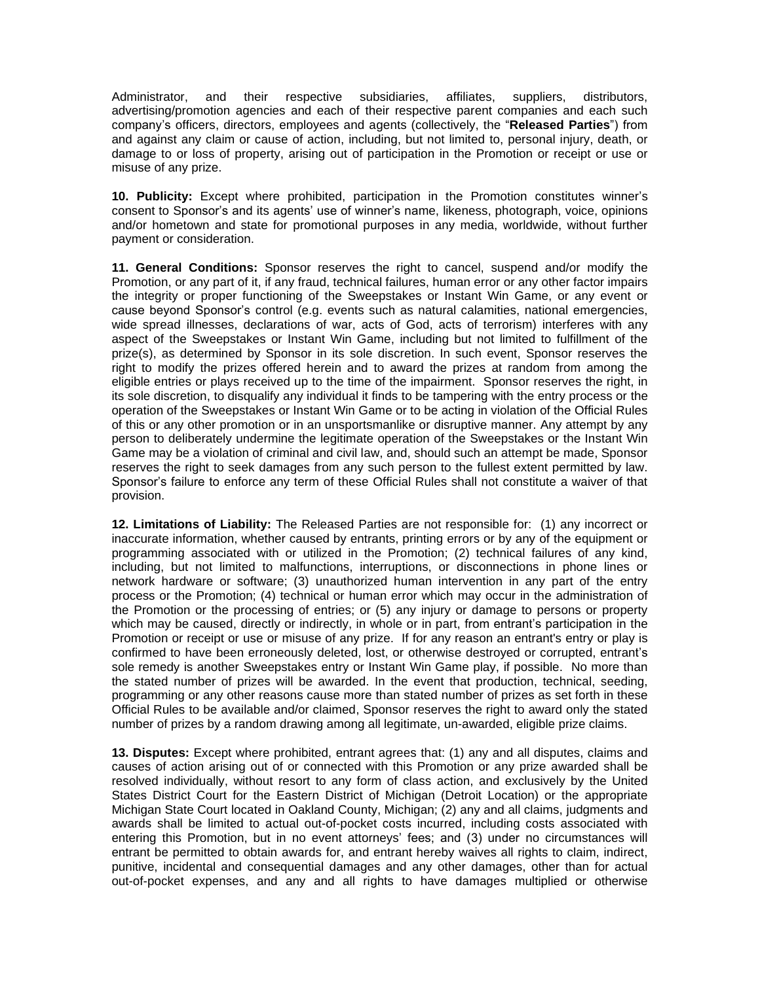Administrator, and their respective subsidiaries, affiliates, suppliers, distributors, advertising/promotion agencies and each of their respective parent companies and each such company's officers, directors, employees and agents (collectively, the "**Released Parties**") from and against any claim or cause of action, including, but not limited to, personal injury, death, or damage to or loss of property, arising out of participation in the Promotion or receipt or use or misuse of any prize.

**10. Publicity:** Except where prohibited, participation in the Promotion constitutes winner's consent to Sponsor's and its agents' use of winner's name, likeness, photograph, voice, opinions and/or hometown and state for promotional purposes in any media, worldwide, without further payment or consideration.

**11. General Conditions:** Sponsor reserves the right to cancel, suspend and/or modify the Promotion, or any part of it, if any fraud, technical failures, human error or any other factor impairs the integrity or proper functioning of the Sweepstakes or Instant Win Game, or any event or cause beyond Sponsor's control (e.g. events such as natural calamities, national emergencies, wide spread illnesses, declarations of war, acts of God, acts of terrorism) interferes with any aspect of the Sweepstakes or Instant Win Game, including but not limited to fulfillment of the prize(s), as determined by Sponsor in its sole discretion. In such event, Sponsor reserves the right to modify the prizes offered herein and to award the prizes at random from among the eligible entries or plays received up to the time of the impairment. Sponsor reserves the right, in its sole discretion, to disqualify any individual it finds to be tampering with the entry process or the operation of the Sweepstakes or Instant Win Game or to be acting in violation of the Official Rules of this or any other promotion or in an unsportsmanlike or disruptive manner. Any attempt by any person to deliberately undermine the legitimate operation of the Sweepstakes or the Instant Win Game may be a violation of criminal and civil law, and, should such an attempt be made, Sponsor reserves the right to seek damages from any such person to the fullest extent permitted by law. Sponsor's failure to enforce any term of these Official Rules shall not constitute a waiver of that provision.

**12. Limitations of Liability:** The Released Parties are not responsible for: (1) any incorrect or inaccurate information, whether caused by entrants, printing errors or by any of the equipment or programming associated with or utilized in the Promotion; (2) technical failures of any kind, including, but not limited to malfunctions, interruptions, or disconnections in phone lines or network hardware or software; (3) unauthorized human intervention in any part of the entry process or the Promotion; (4) technical or human error which may occur in the administration of the Promotion or the processing of entries; or (5) any injury or damage to persons or property which may be caused, directly or indirectly, in whole or in part, from entrant's participation in the Promotion or receipt or use or misuse of any prize. If for any reason an entrant's entry or play is confirmed to have been erroneously deleted, lost, or otherwise destroyed or corrupted, entrant's sole remedy is another Sweepstakes entry or Instant Win Game play, if possible. No more than the stated number of prizes will be awarded. In the event that production, technical, seeding, programming or any other reasons cause more than stated number of prizes as set forth in these Official Rules to be available and/or claimed, Sponsor reserves the right to award only the stated number of prizes by a random drawing among all legitimate, un-awarded, eligible prize claims.

**13. Disputes:** Except where prohibited, entrant agrees that: (1) any and all disputes, claims and causes of action arising out of or connected with this Promotion or any prize awarded shall be resolved individually, without resort to any form of class action, and exclusively by the United States District Court for the Eastern District of Michigan (Detroit Location) or the appropriate Michigan State Court located in Oakland County, Michigan; (2) any and all claims, judgments and awards shall be limited to actual out-of-pocket costs incurred, including costs associated with entering this Promotion, but in no event attorneys' fees; and (3) under no circumstances will entrant be permitted to obtain awards for, and entrant hereby waives all rights to claim, indirect, punitive, incidental and consequential damages and any other damages, other than for actual out-of-pocket expenses, and any and all rights to have damages multiplied or otherwise